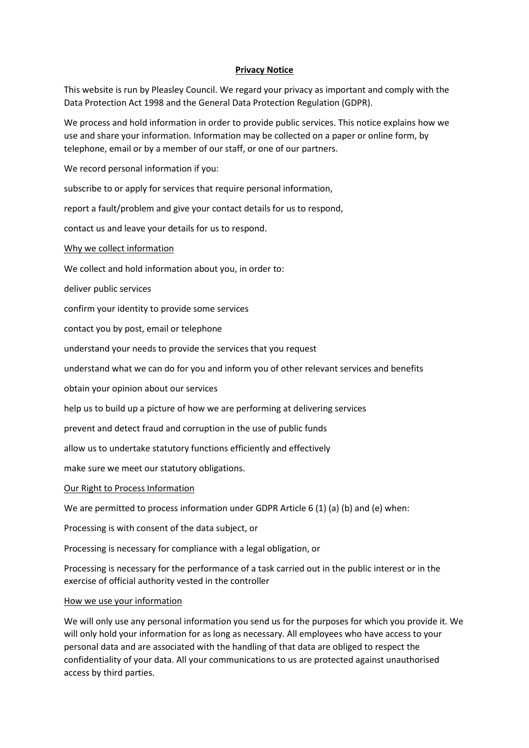# **Privacy Notice**

This website is run by Pleasley Council. We regard your privacy as important and comply with the Data Protection Act 1998 and the General Data Protection Regulation (GDPR).

We process and hold information in order to provide public services. This notice explains how we use and share your information. Information may be collected on a paper or online form, by telephone, email or by a member of our staff, or one of our partners.

We record personal information if you:

subscribe to or apply for services that require personal information,

report a fault/problem and give your contact details for us to respond,

contact us and leave your details for us to respond.

# Why we collect information

We collect and hold information about you, in order to:

deliver public services

confirm your identity to provide some services

contact you by post, email or telephone

understand your needs to provide the services that you request

understand what we can do for you and inform you of other relevant services and benefits

obtain your opinion about our services

help us to build up a picture of how we are performing at delivering services

prevent and detect fraud and corruption in the use of public funds

allow us to undertake statutory functions efficiently and effectively

make sure we meet our statutory obligations.

# Our Right to Process Information

We are permitted to process information under GDPR Article 6 (1) (a) (b) and (e) when:

Processing is with consent of the data subject, or

Processing is necessary for compliance with a legal obligation, or

Processing is necessary for the performance of a task carried out in the public interest or in the exercise of official authority vested in the controller

#### How we use your information

We will only use any personal information you send us for the purposes for which you provide it. We will only hold your information for as long as necessary. All employees who have access to your personal data and are associated with the handling of that data are obliged to respect the confidentiality of your data. All your communications to us are protected against unauthorised access by third parties.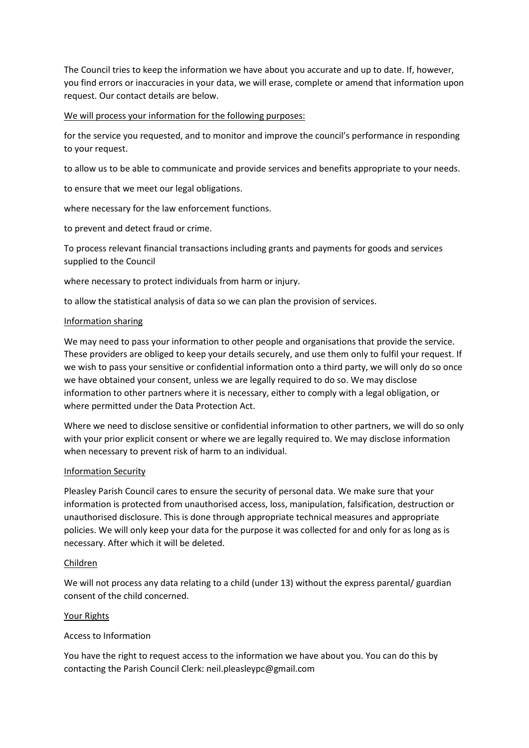The Council tries to keep the information we have about you accurate and up to date. If, however, you find errors or inaccuracies in your data, we will erase, complete or amend that information upon request. Our contact details are below.

## We will process your information for the following purposes:

for the service you requested, and to monitor and improve the council's performance in responding to your request.

to allow us to be able to communicate and provide services and benefits appropriate to your needs.

to ensure that we meet our legal obligations.

where necessary for the law enforcement functions.

to prevent and detect fraud or crime.

To process relevant financial transactions including grants and payments for goods and services supplied to the Council

where necessary to protect individuals from harm or injury.

to allow the statistical analysis of data so we can plan the provision of services.

## Information sharing

We may need to pass your information to other people and organisations that provide the service. These providers are obliged to keep your details securely, and use them only to fulfil your request. If we wish to pass your sensitive or confidential information onto a third party, we will only do so once we have obtained your consent, unless we are legally required to do so. We may disclose information to other partners where it is necessary, either to comply with a legal obligation, or where permitted under the Data Protection Act.

Where we need to disclose sensitive or confidential information to other partners, we will do so only with your prior explicit consent or where we are legally required to. We may disclose information when necessary to prevent risk of harm to an individual.

#### Information Security

Pleasley Parish Council cares to ensure the security of personal data. We make sure that your information is protected from unauthorised access, loss, manipulation, falsification, destruction or unauthorised disclosure. This is done through appropriate technical measures and appropriate policies. We will only keep your data for the purpose it was collected for and only for as long as is necessary. After which it will be deleted.

#### Children

We will not process any data relating to a child (under 13) without the express parental/ guardian consent of the child concerned.

#### Your Rights

# Access to Information

You have the right to request access to the information we have about you. You can do this by contacting the Parish Council Clerk: neil.pleasleypc@gmail.com